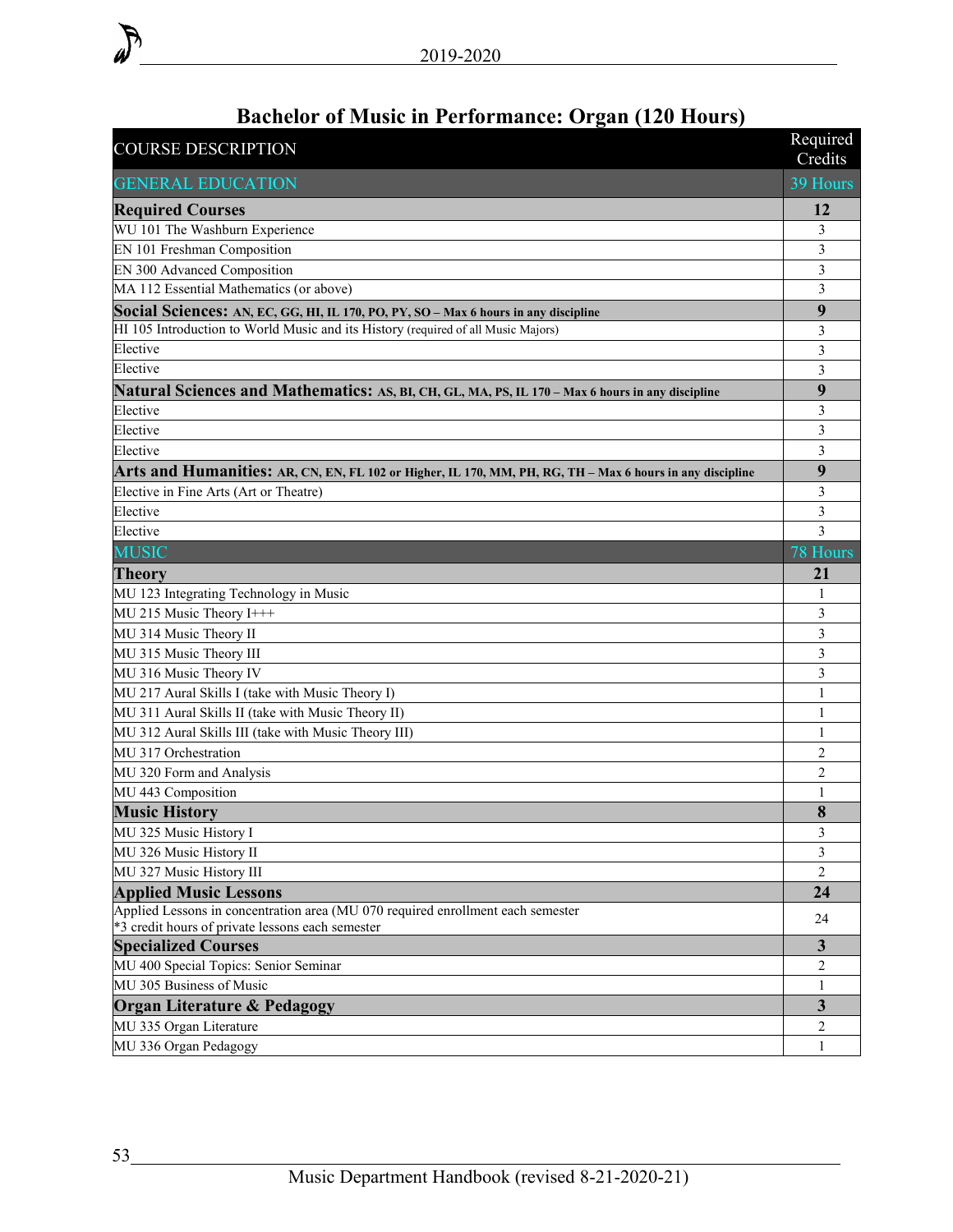| Dachciol of Music in I criolinance. Of gan (120 Hours)<br><b>COURSE DESCRIPTION</b>                       | Required                |
|-----------------------------------------------------------------------------------------------------------|-------------------------|
|                                                                                                           | Credits                 |
| <b>GENERAL EDUCATION</b>                                                                                  | 39 Hours                |
| <b>Required Courses</b>                                                                                   | 12                      |
| WU 101 The Washburn Experience                                                                            | 3                       |
| EN 101 Freshman Composition                                                                               | $\overline{\mathbf{3}}$ |
| EN 300 Advanced Composition                                                                               | 3                       |
| MA 112 Essential Mathematics (or above)                                                                   | 3                       |
| Social Sciences: AN, EC, GG, HI, IL 170, PO, PY, SO - Max 6 hours in any discipline                       | 9                       |
| HI 105 Introduction to World Music and its History (required of all Music Majors)                         | 3                       |
| Elective                                                                                                  | 3                       |
| Elective                                                                                                  | 3                       |
| Natural Sciences and Mathematics: AS, BI, CH, GL, MA, PS, IL 170 - Max 6 hours in any discipline          | 9                       |
| Elective                                                                                                  | $\mathfrak{Z}$          |
| Elective                                                                                                  | $\mathfrak{Z}$          |
| Elective                                                                                                  | 3                       |
| Arts and Humanities: AR, CN, EN, FL 102 or Higher, IL 170, MM, PH, RG, TH - Max 6 hours in any discipline | 9                       |
| Elective in Fine Arts (Art or Theatre)                                                                    | 3                       |
| Elective                                                                                                  | 3                       |
| Elective                                                                                                  | $\overline{3}$          |
| <b>MUSIC</b>                                                                                              | 78 Hours                |
| <b>Theory</b>                                                                                             | 21                      |
| MU 123 Integrating Technology in Music                                                                    | 1                       |
| MU 215 Music Theory I+++                                                                                  | 3                       |
| MU 314 Music Theory II                                                                                    | 3                       |
| MU 315 Music Theory III                                                                                   | 3                       |
| MU 316 Music Theory IV                                                                                    | 3                       |
| MU 217 Aural Skills I (take with Music Theory I)                                                          | 1                       |
| MU 311 Aural Skills II (take with Music Theory II)                                                        | 1                       |
| MU 312 Aural Skills III (take with Music Theory III)                                                      | 1                       |
| MU 317 Orchestration                                                                                      | $\overline{2}$          |
| MU 320 Form and Analysis                                                                                  | 2                       |
| MU 443 Composition                                                                                        | 1                       |
| <b>Music History</b>                                                                                      | 8                       |
| MU 325 Music History I                                                                                    | 3                       |
| MU 326 Music History II                                                                                   | 3                       |
| MU 327 Music History III                                                                                  | $\overline{2}$          |
| <b>Applied Music Lessons</b>                                                                              | 24                      |
| Applied Lessons in concentration area (MU 070 required enrollment each semester                           | 24                      |
| *3 credit hours of private lessons each semester                                                          |                         |
| <b>Specialized Courses</b>                                                                                | 3                       |
| MU 400 Special Topics: Senior Seminar                                                                     | 2                       |
| MU 305 Business of Music                                                                                  | 1                       |
| <b>Organ Literature &amp; Pedagogy</b>                                                                    | $\overline{\mathbf{3}}$ |
| MU 335 Organ Literature                                                                                   | 2                       |
| MU 336 Organ Pedagogy                                                                                     | 1                       |

## **Bachelor of Music in Performance: Organ (120 Hours)**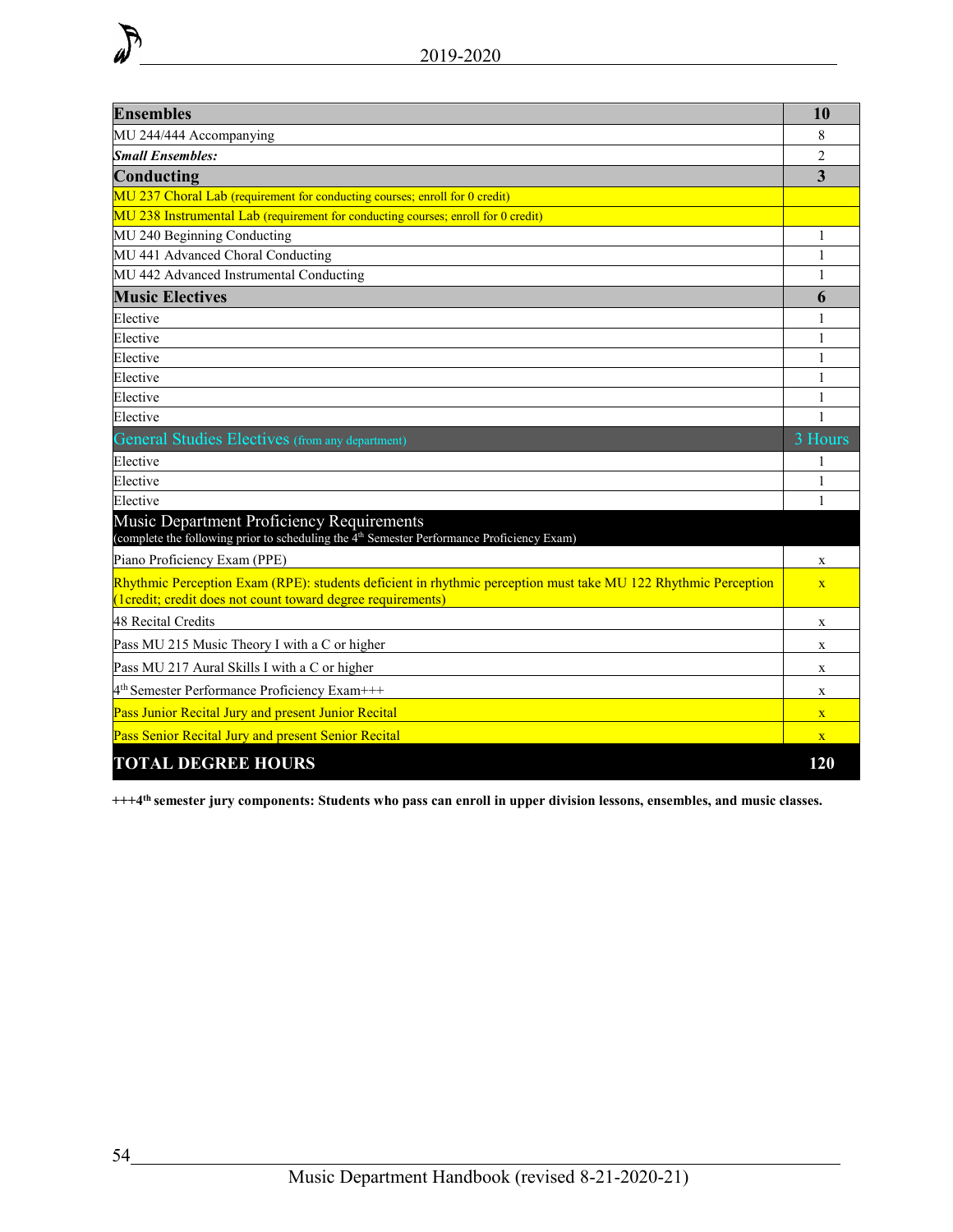| <b>Ensembles</b>                                                                                                                                                              | 10                      |  |  |  |  |
|-------------------------------------------------------------------------------------------------------------------------------------------------------------------------------|-------------------------|--|--|--|--|
| MU 244/444 Accompanying                                                                                                                                                       |                         |  |  |  |  |
| <b>Small Ensembles:</b>                                                                                                                                                       | $\overline{2}$          |  |  |  |  |
| Conducting                                                                                                                                                                    | $\overline{\mathbf{3}}$ |  |  |  |  |
| MU 237 Choral Lab (requirement for conducting courses; enroll for 0 credit)                                                                                                   |                         |  |  |  |  |
| MU 238 Instrumental Lab (requirement for conducting courses; enroll for 0 credit)                                                                                             |                         |  |  |  |  |
| MU 240 Beginning Conducting                                                                                                                                                   |                         |  |  |  |  |
| MU 441 Advanced Choral Conducting                                                                                                                                             |                         |  |  |  |  |
| MU 442 Advanced Instrumental Conducting                                                                                                                                       |                         |  |  |  |  |
| <b>Music Electives</b>                                                                                                                                                        | 6                       |  |  |  |  |
| Elective                                                                                                                                                                      |                         |  |  |  |  |
| Elective                                                                                                                                                                      | 1                       |  |  |  |  |
| Elective                                                                                                                                                                      |                         |  |  |  |  |
| Elective                                                                                                                                                                      | 1                       |  |  |  |  |
| Elective                                                                                                                                                                      | 1                       |  |  |  |  |
| Elective                                                                                                                                                                      | $\mathbf{1}$            |  |  |  |  |
| General Studies Electives (from any department)                                                                                                                               | 3 Hours                 |  |  |  |  |
| Elective                                                                                                                                                                      |                         |  |  |  |  |
| Elective                                                                                                                                                                      |                         |  |  |  |  |
| Elective                                                                                                                                                                      |                         |  |  |  |  |
| Music Department Proficiency Requirements<br>(complete the following prior to scheduling the 4 <sup>th</sup> Semester Performance Proficiency Exam)                           |                         |  |  |  |  |
| Piano Proficiency Exam (PPE)                                                                                                                                                  | X                       |  |  |  |  |
| Rhythmic Perception Exam (RPE): students deficient in rhythmic perception must take MU 122 Rhythmic Perception<br>(1credit; credit does not count toward degree requirements) | $\overline{\mathbf{X}}$ |  |  |  |  |
| <b>48 Recital Credits</b>                                                                                                                                                     | X                       |  |  |  |  |
| Pass MU 215 Music Theory I with a C or higher                                                                                                                                 | X                       |  |  |  |  |
| Pass MU 217 Aural Skills I with a C or higher                                                                                                                                 | X                       |  |  |  |  |
| 4 <sup>th</sup> Semester Performance Proficiency Exam+++                                                                                                                      | X                       |  |  |  |  |
| Pass Junior Recital Jury and present Junior Recital                                                                                                                           | $\mathbf{X}$            |  |  |  |  |
| Pass Senior Recital Jury and present Senior Recital                                                                                                                           |                         |  |  |  |  |
| <b>TOTAL DEGREE HOURS</b>                                                                                                                                                     | 120                     |  |  |  |  |

**+++4th semester jury components: Students who pass can enroll in upper division lessons, ensembles, and music classes.**